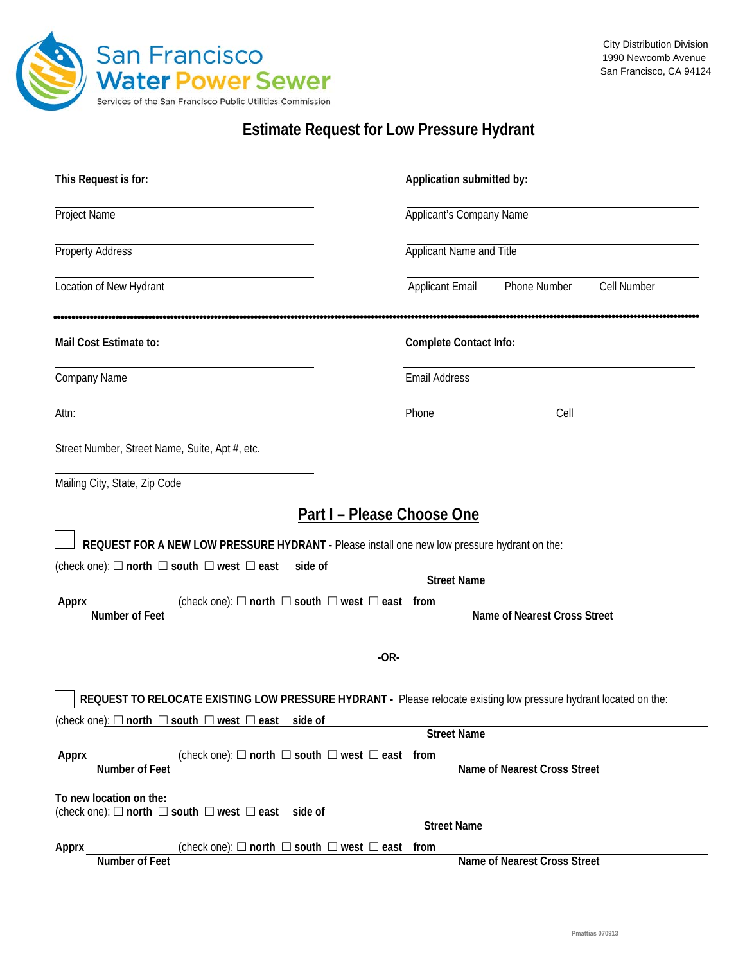

## **Estimate Request for Low Pressure Hydrant**

| This Request is for:                                                                                              | Application submitted by:                                    |
|-------------------------------------------------------------------------------------------------------------------|--------------------------------------------------------------|
| Project Name                                                                                                      | Applicant's Company Name                                     |
| <b>Property Address</b>                                                                                           | Applicant Name and Title                                     |
| Location of New Hydrant                                                                                           | <b>Applicant Email</b><br><b>Phone Number</b><br>Cell Number |
| Mail Cost Estimate to:                                                                                            | <b>Complete Contact Info:</b>                                |
| Company Name                                                                                                      | <b>Email Address</b>                                         |
| Attn:                                                                                                             | Cell<br>Phone                                                |
| Street Number, Street Name, Suite, Apt #, etc.                                                                    |                                                              |
| Mailing City, State, Zip Code                                                                                     |                                                              |
| <b>Part I - Please Choose One</b>                                                                                 |                                                              |
| REQUEST FOR A NEW LOW PRESSURE HYDRANT - Please install one new low pressure hydrant on the:                      |                                                              |
| (check one): $\Box$ north $\Box$ south $\Box$ west $\Box$ east<br>side of                                         |                                                              |
|                                                                                                                   | <b>Street Name</b>                                           |
| (check one): $\Box$ north $\Box$ south $\Box$ west $\Box$ east<br>Apprx<br><b>Number of Feet</b>                  | from<br><b>Name of Nearest Cross Street</b>                  |
|                                                                                                                   |                                                              |
| $-OR-$                                                                                                            |                                                              |
|                                                                                                                   |                                                              |
| REQUEST TO RELOCATE EXISTING LOW PRESSURE HYDRANT - Please relocate existing low pressure hydrant located on the: |                                                              |
| (check one): $\Box$ north $\Box$ south $\Box$ west $\Box$ east side of                                            |                                                              |
|                                                                                                                   | <b>Street Name</b>                                           |
| (check one): $\Box$ north $\Box$ south $\Box$ west $\Box$ east from<br>Apprx                                      |                                                              |
| <b>Number of Feet</b>                                                                                             | Name of Nearest Cross Street                                 |
| To new location on the:<br>(check one): $\Box$ north $\Box$ south $\Box$ west $\Box$ east side of                 |                                                              |
|                                                                                                                   | <b>Street Name</b>                                           |
| (check one): $\Box$ north $\Box$ south $\Box$ west $\Box$ east from<br>Apprx<br><b>Number of Feet</b>             | Name of Nearest Cross Street                                 |
|                                                                                                                   |                                                              |